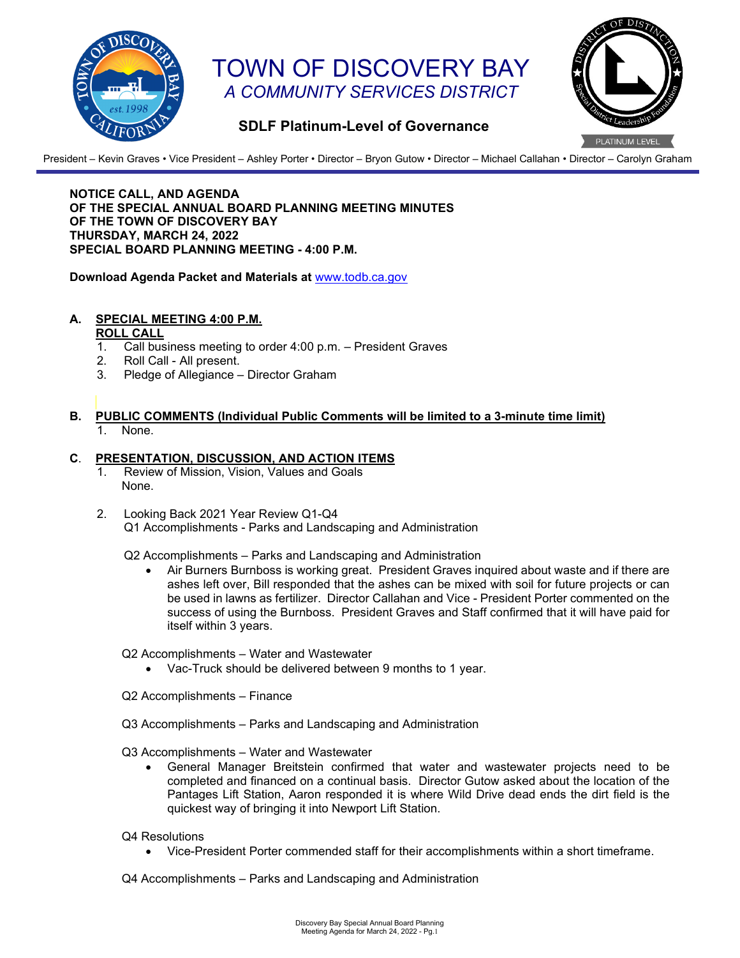

# TOWN OF DISCOVERY BAY *A COMMUNITY SERVICES DISTRICT*



## **SDLF Platinum-Level of Governance**

President – Kevin Graves • Vice President – Ashley Porter • Director – Bryon Gutow • Director – Michael Callahan • Director – Carolyn Graham

**NOTICE CALL, AND AGENDA OF THE SPECIAL ANNUAL BOARD PLANNING MEETING MINUTES OF THE TOWN OF DISCOVERY BAY THURSDAY, MARCH 24, 2022 SPECIAL BOARD PLANNING MEETING - 4:00 P.M.** 

**Download Agenda Packet and Materials at** [www.todb.ca.gov](http://www.todb.ca.gov/)

# **A. SPECIAL MEETING 4:00 P.M.**

#### **ROLL CALL**

- 1. Call business meeting to order 4:00 p.m. President Graves
- Roll Call All present.
- 3. Pledge of Allegiance Director Graham
- **B. PUBLIC COMMENTS (Individual Public Comments will be limited to a 3-minute time limit)** 1. None.

### **C**. **PRESENTATION, DISCUSSION, AND ACTION ITEMS**

- 1. Review of Mission, Vision, Values and Goals None.
- 2. Looking Back 2021 Year Review Q1-Q4 Q1 Accomplishments - Parks and Landscaping and Administration

Q2 Accomplishments – Parks and Landscaping and Administration

• Air Burners Burnboss is working great. President Graves inquired about waste and if there are ashes left over, Bill responded that the ashes can be mixed with soil for future projects or can be used in lawns as fertilizer. Director Callahan and Vice - President Porter commented on the success of using the Burnboss. President Graves and Staff confirmed that it will have paid for itself within 3 years.

Q2 Accomplishments – Water and Wastewater

- Vac-Truck should be delivered between 9 months to 1 year.
- Q2 Accomplishments Finance
- Q3 Accomplishments Parks and Landscaping and Administration

Q3 Accomplishments – Water and Wastewater

- General Manager Breitstein confirmed that water and wastewater projects need to be completed and financed on a continual basis. Director Gutow asked about the location of the Pantages Lift Station, Aaron responded it is where Wild Drive dead ends the dirt field is the quickest way of bringing it into Newport Lift Station.
- Q4 Resolutions
	- Vice-President Porter commended staff for their accomplishments within a short timeframe.

Q4 Accomplishments – Parks and Landscaping and Administration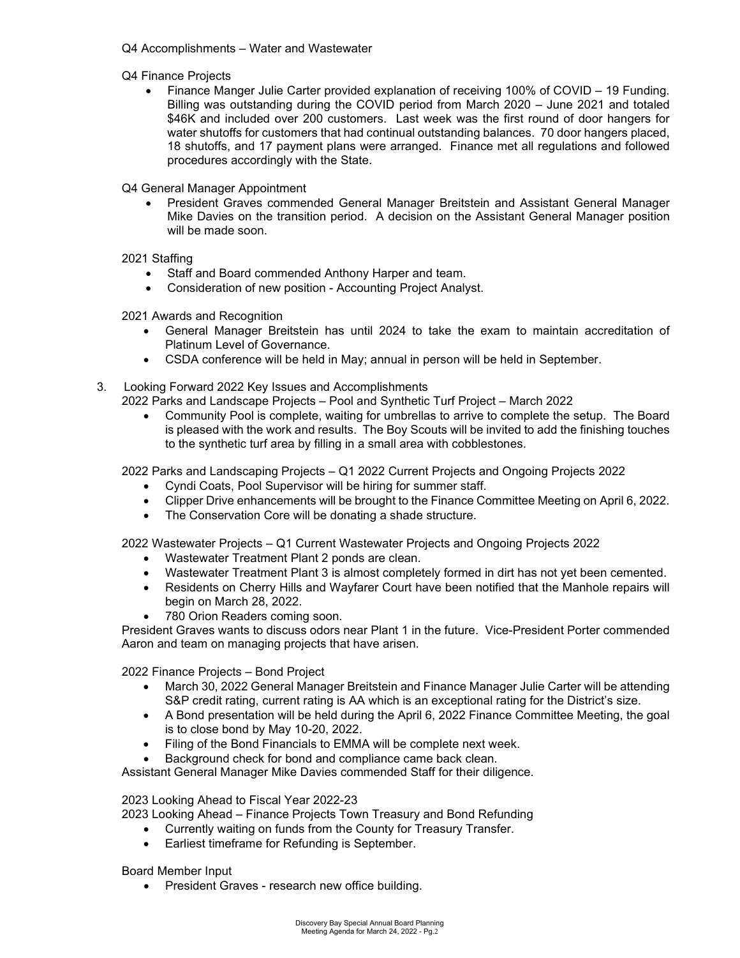- Q4 Accomplishments Water and Wastewater
- Q4 Finance Projects
	- Finance Manger Julie Carter provided explanation of receiving 100% of COVID 19 Funding. Billing was outstanding during the COVID period from March 2020 – June 2021 and totaled \$46K and included over 200 customers. Last week was the first round of door hangers for water shutoffs for customers that had continual outstanding balances. 70 door hangers placed, 18 shutoffs, and 17 payment plans were arranged. Finance met all regulations and followed procedures accordingly with the State.

Q4 General Manager Appointment

• President Graves commended General Manager Breitstein and Assistant General Manager Mike Davies on the transition period. A decision on the Assistant General Manager position will be made soon.

2021 Staffing

- Staff and Board commended Anthony Harper and team.
- Consideration of new position Accounting Project Analyst.

2021 Awards and Recognition

- General Manager Breitstein has until 2024 to take the exam to maintain accreditation of Platinum Level of Governance.
- CSDA conference will be held in May; annual in person will be held in September.
- 3. Looking Forward 2022 Key Issues and Accomplishments

2022 Parks and Landscape Projects – Pool and Synthetic Turf Project – March 2022

• Community Pool is complete, waiting for umbrellas to arrive to complete the setup. The Board is pleased with the work and results. The Boy Scouts will be invited to add the finishing touches to the synthetic turf area by filling in a small area with cobblestones.

2022 Parks and Landscaping Projects – Q1 2022 Current Projects and Ongoing Projects 2022

- Cyndi Coats, Pool Supervisor will be hiring for summer staff.
- Clipper Drive enhancements will be brought to the Finance Committee Meeting on April 6, 2022.
- The Conservation Core will be donating a shade structure.

2022 Wastewater Projects – Q1 Current Wastewater Projects and Ongoing Projects 2022

- Wastewater Treatment Plant 2 ponds are clean.
- Wastewater Treatment Plant 3 is almost completely formed in dirt has not yet been cemented.
- Residents on Cherry Hills and Wayfarer Court have been notified that the Manhole repairs will begin on March 28, 2022.
- 780 Orion Readers coming soon.

President Graves wants to discuss odors near Plant 1 in the future. Vice-President Porter commended Aaron and team on managing projects that have arisen.

2022 Finance Projects – Bond Project

- March 30, 2022 General Manager Breitstein and Finance Manager Julie Carter will be attending S&P credit rating, current rating is AA which is an exceptional rating for the District's size.
- A Bond presentation will be held during the April 6, 2022 Finance Committee Meeting, the goal is to close bond by May 10-20, 2022.
- Filing of the Bond Financials to EMMA will be complete next week.
- Background check for bond and compliance came back clean.

Assistant General Manager Mike Davies commended Staff for their diligence.

2023 Looking Ahead to Fiscal Year 2022-23

- 2023 Looking Ahead Finance Projects Town Treasury and Bond Refunding
	- Currently waiting on funds from the County for Treasury Transfer.
	- Earliest timeframe for Refunding is September.

Board Member Input

• President Graves - research new office building.